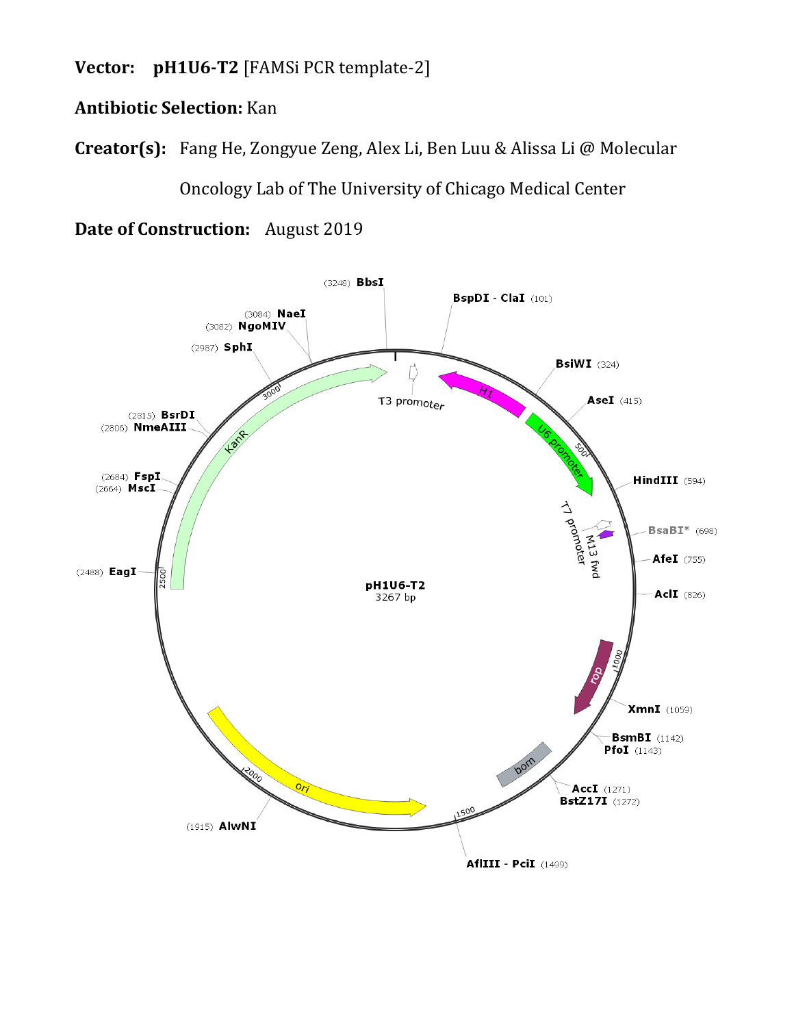**Vector: pH1U6-T2** [FAMSi PCR template-2]

## **Antibiotic Selection:** Kan

**Creator(s):** Fang He, Zongyue Zeng, Alex Li, Ben Luu & Alissa Li @ Molecular

Oncology Lab of The University of Chicago Medical Center

**Date of Construction:** August 2019

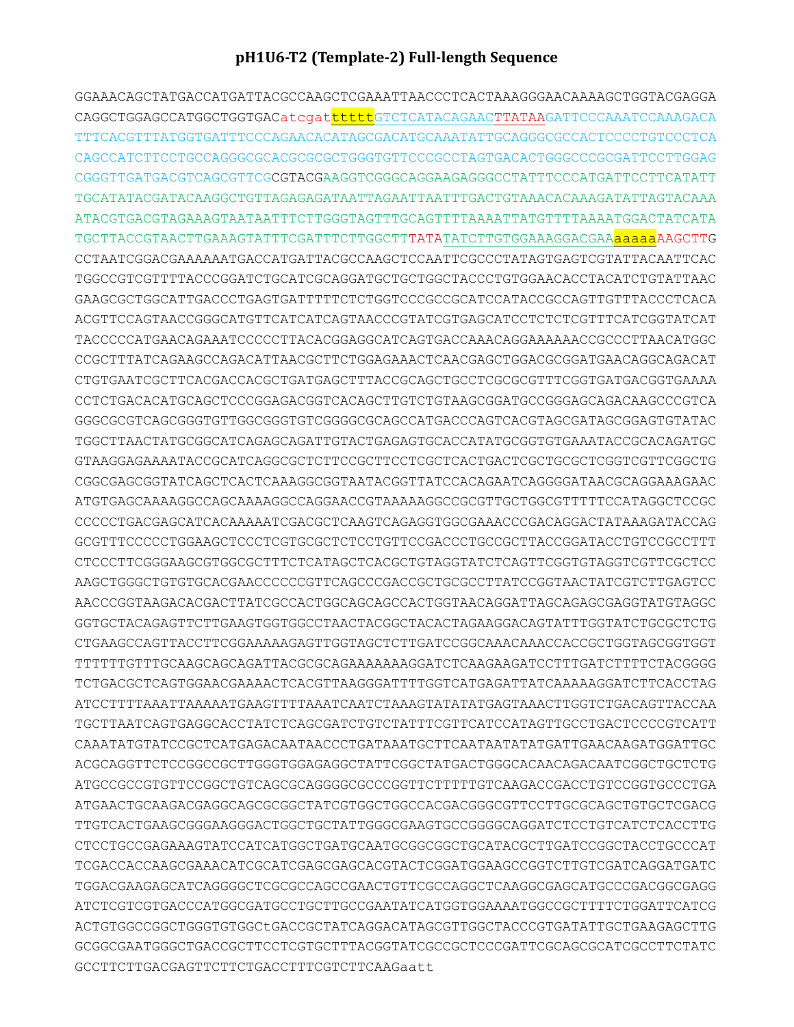## pH1U6-T2 (Template-2) Full-length Sequence

GGAAACAGCTATGACCATGATTACGCCAAGCTCGAAATTAACCCTCACTAAAGGGAACAAAAGCTGGTACGAGGA CAGGCTGGAGCCATGGCTGGTGACatcqattttttGTCTCATACAGAACTTATAAGATTCCCAAATCCAAAGACA TTTCACGTTTATGGTGATTTCCCAGAACACATAGCGACATGCAAATATTGCAGGGCGCCACTCCCCTGTCCCTCA CAGCCATCTTCCTGCCAGGGCGCACGCGCGCTGGGTGTTCCCGCCTAGTGACACTGGGCCCGCGATTCCTTGGAG CGGGTTGATGACGTCAGCGTTCGCGTACGAAGGTCGGGCAGGAAGAGGGCCTATTTCCCATGATTCCTTCATATT ATACGTGACGTAGAAAGTAATAATTTCTTGGGTAGTTTGCAGTTTTAAAATTATGTTTTAAAATGGACTATCATA TGCTTACCGTAACTTGAAAGTATTTCGATTTCTTGGCTTTATATATCTTGTGGAAAGGACGAAaaaaaAAGCTTG CCTAATCGGACGAAAAAATGACCATGATTACGCCAAGCTCCAATTCGCCCTATAGTGAGTCGTATTACAATTCAC TGGCCGTCGTTTTACCCGGATCTGCATCGCAGGATGCTGCTGGCTACCCTGTGGAACACCTACATCTGTATTAAC GAAGCGCTGGCATTGACCCTGAGTGATTTTTCTCTGGTCCCGCCGCATCCATACCGCCAGTTGTTTACCCTCACA ACGTTCCAGTAACCGGGCATGTTCATCATCAGTAACCCGTATCGTGAGCATCCTCTCTCGTTTCATCGGTATCAT TACCCCCATGAACAGAAATCCCCCTTACACGGAGGCATCAGTGACCAAACAGGAAAAAACCGCCCTTAACATGGC CCGCTTTATCAGAAGCCAGACATTAACGCTTCTGGAGAAACTCAACGAGCTGGACGCGGATGAACAGGCAGACAT CTGTGAATCGCTTCACGACCACGCTGATGAGCTTTACCGCAGCTGCCTCGCGCGTTTCGGTGATGACGGTGAAAA CCTCTGACACATGCAGCTCCCGGAGACGGTCACAGCTTGTCTGTAAGCGGATGCCGGGAGCAGACAAGCCCGTCA GGGCGCGTCAGCGGGTGTTGGCGGGTGTCGGGGCGCAGCCATGACCCAGTCACGTAGCGATAGCGGAGTGTATAC TGGCTTAACTATGCGGCATCAGAGCAGATTGTACTGAGAGTGCACCATATGCGGTGTGAAATACCGCACAGATGC CGGCGAGCGGTATCAGCTCACTCAAAGGCGGTAATACGGTTATCCACAGAATCAGGGGATAACGCAGGAAAGAAC ATGTGAGCAAAAGGCCAGCAAAAGGCCAGGAACCGTAAAAAGGCCGCGTTGCTGGCGTTTTTCCATAGGCTCCGC CCCCCTGACGAGCATCACAAAAATCGACGCTCAAGTCAGGGTGGCGAAACCCGACAGGACTATAAAGATACCAG GCGTTTCCCCCTGGAAGCTCCCTCGTGCGCTCTCCTGTTCCGACCCTGCCGCTTACCGGATACCTGTCCGCCTTT CTCCCTTCGGGAAGCGTGGCGCTTTCTCATAGCTCACGCTGTAGGTATCTCAGTTCGGTGTAGGTCGTTCGCTCC AAGCTGGGCTGTGTGCACGAACCCCCCGTTCAGCCCGACCGCTGCGCCTTATCCGGTAACTATCGTCTTGAGTCC AACCCGGTAAGACACGACTTATCGCCACTGGCAGCAGCCACTGGTAACAGGATTAGCAGAGCGAGGTATGTAGGC GGTGCTACAGAGTTCTTGAAGTGGTGGCCTAACTACGGCTACACTAGAAGGACAGTATTTGGTATCTGCGCTCTG TTTTTTGTTTGCAAGCAGCAGATTACGCGCAGAAAAAAAGGATCTCAAGAAGATCCTTTGATCTTTTCTACGGGG TCTGACGCTCAGTGGAACGAAAACTCACGTTAAGGGATTTTGGTCATGAGATTATCAAAAAGGATCTTCACCTAG ATCCTTTTAAATTAAAAATGAAGTTTTAAATCAATCTAAAGTATATGAGTAAACTTGGTCTGACAGTTACCAA TGCTTAATCAGTGAGGCACCTATCTCAGCGATCTGTCTATTTCGTTCATCCATAGTTGCCTGACTCCCCGTCATT CAAATATGTATCCGCTCATGAGACAATAACCCTGATAAATGCTTCAATAATATATGATTGAACAAGATGGATTGC ACGCAGGTTCTCCGGCCGCTTGGGTGGAGAGGCTATTCGGCTATGACTGGGCACAACAGACAATCGGCTGCTCTG TTGTCACTGAAGCGGGAAGGGACTGGCTGCTATTGGGCGAAGTGCCGGGGCAGGATCTCCTGTCATCTCACCTTG CTCCTGCCGAGAAAGTATCCATCATGGCTGATGCAATGCGGCGGCTGCATACGCTTGATCCGGCTACCTGCCCAT TCGACCACCAAGCGAAACATCGCATCGAGCGAGCACGTACTCGGATGGAAGCCGGTCTTGTCGATCAGGATGATC TGGACGAAGAGCATCAGGGGCTCGCGCCAGCCGAACTGTTCGCCAGGCTCAAGGCGAGCATGCCCGACGGCGAGG ATCTCGTCGTGACCCATGGCGATGCCTGCTTGCCGAATATCATGGTGGAAAATGGCCGCTTTTCTGGATTCATCG ACTGTGGCCGGCTGGGTGTGGCtGACCGCTATCAGGACATAGCGTTGGCTACCCGTGATATTGCTGAAGAGCTTG GCGGCGAATGGGCTGACCGCTTCCTCGTGCTTTACGGTATCGCCGCTCCCGATTCGCAGCGCATCGCCTTCTATC GCCTTCTTGACGAGTTCTTCTGACCTTTCGTCTTCAAGaatt